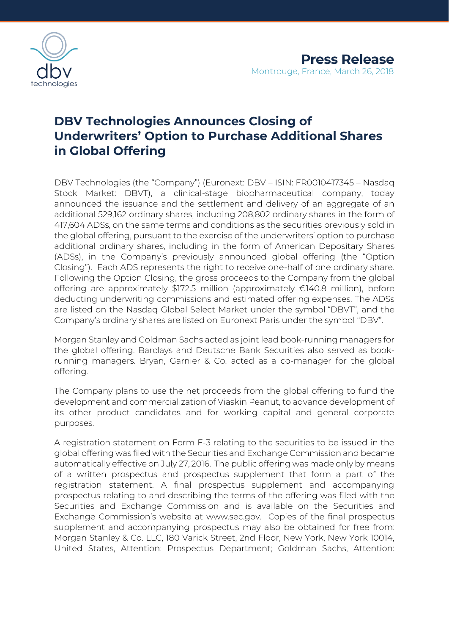

# **DBV Technologies Announces Closing of Underwriters' Option to Purchase Additional Shares in Global Offering**

DBV Technologies (the "Company") (Euronext: DBV – ISIN: FR0010417345 – Nasdaq Stock Market: DBVT), a clinical-stage biopharmaceutical company, today announced the issuance and the settlement and delivery of an aggregate of an additional 529,162 ordinary shares, including 208,802 ordinary shares in the form of 417,604 ADSs, on the same terms and conditions as the securities previously sold in the global offering, pursuant to the exercise of the underwriters' option to purchase additional ordinary shares, including in the form of American Depositary Shares (ADSs), in the Company's previously announced global offering (the "Option Closing"). Each ADS represents the right to receive one-half of one ordinary share. Following the Option Closing, the gross proceeds to the Company from the global offering are approximately \$172.5 million (approximately €140.8 million), before deducting underwriting commissions and estimated offering expenses. The ADSs are listed on the Nasdaq Global Select Market under the symbol "DBVT", and the Company's ordinary shares are listed on Euronext Paris under the symbol "DBV".

Morgan Stanley and Goldman Sachs acted as joint lead book-running managers for the global offering. Barclays and Deutsche Bank Securities also served as bookrunning managers. Bryan, Garnier & Co. acted as a co-manager for the global offering.

The Company plans to use the net proceeds from the global offering to fund the development and commercialization of Viaskin Peanut, to advance development of its other product candidates and for working capital and general corporate purposes.

A registration statement on Form F-3 relating to the securities to be issued in the global offering was filed with the Securities and Exchange Commission and became automatically effective on July 27, 2016. The public offering was made only by means of a written prospectus and prospectus supplement that form a part of the registration statement. A final prospectus supplement and accompanying prospectus relating to and describing the terms of the offering was filed with the Securities and Exchange Commission and is available on the Securities and Exchange Commission's website at www.sec.gov. Copies of the final prospectus supplement and accompanying prospectus may also be obtained for free from: Morgan Stanley & Co. LLC, 180 Varick Street, 2nd Floor, New York, New York 10014, United States, Attention: Prospectus Department; Goldman Sachs, Attention: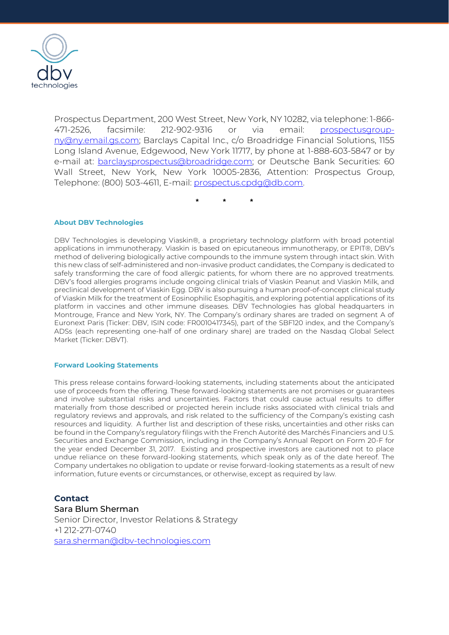

Prospectus Department, 200 West Street, New York, NY 10282, via telephone: 1-866- 471-2526, facsimile: 212-902-9316 or via email: [prospectusgroup](mailto:prospectusgroup-ny@ny.email.gs.com)[ny@ny.email.gs.com;](mailto:prospectusgroup-ny@ny.email.gs.com) Barclays Capital Inc., c/o Broadridge Financial Solutions, 1155 Long Island Avenue, Edgewood, New York 11717, by phone at 1-888-603-5847 or by e-mail at: [barclaysprospectus@broadridge.com;](mailto:barclaysprospectus@broadridge.com) or Deutsche Bank Securities: 60 Wall Street, New York, New York 10005-2836, Attention: Prospectus Group, Telephone: (800) 503-4611, E-mail: [prospectus.cpdg@db.com.](mailto:prospectus.cpdg@db.com)

**\* \* \***

## **About DBV Technologies**

DBV Technologies is developing Viaskin®, a proprietary technology platform with broad potential applications in immunotherapy. Viaskin is based on epicutaneous immunotherapy, or EPIT®, DBV's method of delivering biologically active compounds to the immune system through intact skin. With this new class of self-administered and non-invasive product candidates, the Company is dedicated to safely transforming the care of food allergic patients, for whom there are no approved treatments. DBV's food allergies programs include ongoing clinical trials of Viaskin Peanut and Viaskin Milk, and preclinical development of Viaskin Egg. DBV is also pursuing a human proof-of-concept clinical study of Viaskin Milk for the treatment of Eosinophilic Esophagitis, and exploring potential applications of its platform in vaccines and other immune diseases. DBV Technologies has global headquarters in Montrouge, France and New York, NY. The Company's ordinary shares are traded on segment A of Euronext Paris (Ticker: DBV, ISIN code: FR0010417345), part of the SBF120 index, and the Company's ADSs (each representing one-half of one ordinary share) are traded on the Nasdaq Global Select Market (Ticker: DBVT).

### **Forward Looking Statements**

This press release contains forward-looking statements, including statements about the anticipated use of proceeds from the offering. These forward-looking statements are not promises or guarantees and involve substantial risks and uncertainties. Factors that could cause actual results to differ materially from those described or projected herein include risks associated with clinical trials and regulatory reviews and approvals, and risk related to the sufficiency of the Company's existing cash resources and liquidity. A further list and description of these risks, uncertainties and other risks can be found in the Company's regulatory filings with the French Autorité des Marchés Financiers and U.S. Securities and Exchange Commission, including in the Company's Annual Report on Form 20-F for the year ended December 31, 2017. Existing and prospective investors are cautioned not to place undue reliance on these forward-looking statements, which speak only as of the date hereof. The Company undertakes no obligation to update or revise forward-looking statements as a result of new information, future events or circumstances, or otherwise, except as required by law.

# **Contact**

# Sara Blum Sherman

Senior Director, Investor Relations & Strategy +1 212-271-0740 [sara.sherman@dbv-technologies.com](mailto:susanna.mesa@dbv-technologies.com)